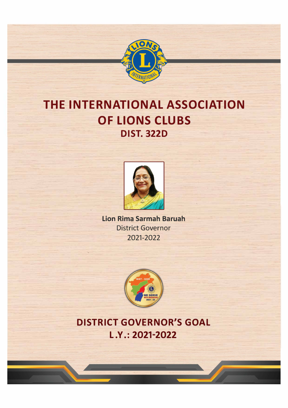

# **THE INTERNATIONAL ASSOCIATION OF LIONS CLUBS DIST. 322D**



Lion Rima Sarmah Baruah District Governor 2021-2022



**DISTRICT GOVERNOR'S GOAL L .Y.: 2021-2022**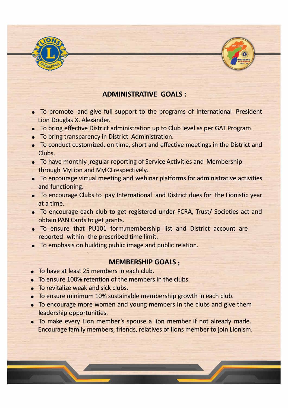

# **ADMINISTRATIVE GOALS:**

- To promote and give full support to the programs of International President Lion Douglas X. Alexander.
- To bring effective District administration up to Club level as per GAT Program.
- To bring transparency in District Administration.
- To conduct customized, on-time, short and effective meetings in the District and Clubs.
- To have monthly ,regular reporting of Service Activities and Membership through Mylion and MyLCI respectively.
- To encourage virtual meeting and webinar platforms for administrative activities and functioning.
- To encourage Clubs to pay International and District dues for the Lionistic year at a time.
- To encourage each club to get registered under FCRA, Trust/ Societies act and obtain PAN Cards to get grants.
- To ensure that PU101 form,membership list and District account are reported within the prescribed time limit.
- To emphasis on building public image and public relation.

## **MEMBERSHIP GOALS**

- To have at least 25 members in each club.
- To ensure 100% retention of the members in the clubs.
- To revitalize weak and sick clubs.
- To ensure minimum 10% sustainable membership growth in each club.
- To encourage more women and young members in the clubs and give them leadership opportunities.
- To make every Lion member's spouse a lion member if not already made. Encourage family members, friends, relatives of lions member to join Lionism.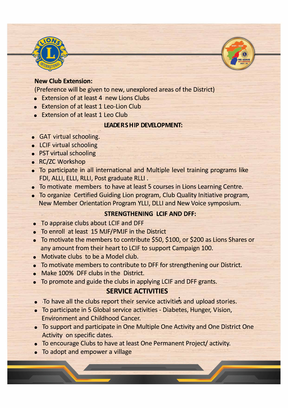

#### **New Club Extension:**

{Preference will be given to new, unexplored areas of the District)

- Extension of at least 4 new Lions Clubs
- Extension of at least 1 Leo-Lion Club
- Extension of at least 1 Leo Club

#### **LEADERSHIP DEVELOPMENT:**

- GAT virtual schooling.
- LCIF virtual schooling
- PST virtual schooling
- RC/ZC Workshop
- To participate in all international and Multiple level training programs like FDI, ALLI, ELLI, RLLI, Post graduate RLLI .
- To motivate members to have at least 5 courses in Lions Learning Centre.
- To organize Certified Guiding Lion program, Club Quality Initiative program, New Member Orientation Program YLLI, DLLI and New Voice symposium.

#### **STRENGTHENING LCIF AND OFF:**

- To appraise clubs about LCIF and DFF
- To enroll at least 15 MJF/PMJF in the District
- To motivate the members to contribute \$50, \$100, or \$200 as Lions Shares or any amount from their heart to LCIF to support Campaign 100.
- Motivate clubs to be a Model club.
- To motivate members to contribute to DFF for strengthening our District.
- Make 100% DFF clubs in the District.
- To promote and guide the clubs in applying LCIF and DFF grants.

#### **SERVICE ACTIVITIES**

- To have all the clubs report their service activities and upload stories.
- To participate in 5 Global service activities Diabetes, Hunger, Vision, Environment and Childhood Cancer.
- To support and participate in One Multiple One Activity and One District One Activity on specific dates.
- To encourage Clubs to have at least One Permanent Project/ activity.
- To adopt and empower a village